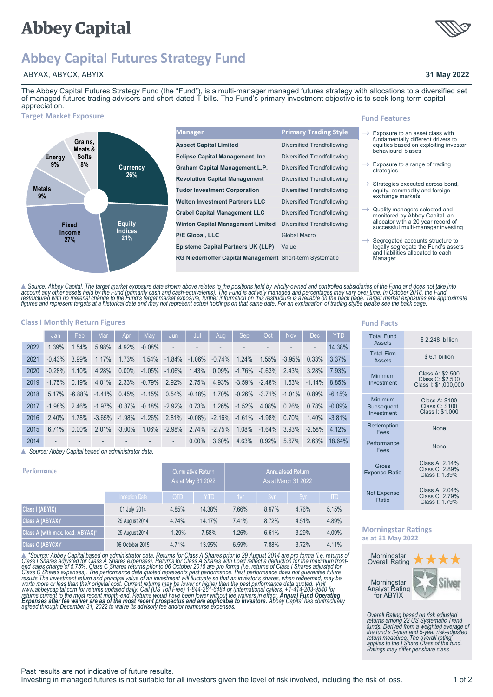# **Abbey Capital**

## **Abbey Capital Futures Strategy Fund**

### ABYAX, ABYCX, ABYIX

The Abbey Capital Futures Strategy Fund (the "Fund"), is a multi-manager managed futures strategy with allocations to a diversified set of managed futures trading advisors and short-dated T-bills. The Fund's primary investment objective is to seek long-term capital appreciation.

### **Target Market Exposure**



▲ Source: Abbey Capital. The target market exposure data shown above relates to the positions held by wholly-owned and controlled subsidiaries of the Fund and does not take into<br>account any other assets held by the Fund (

#### **Class I Monthly Return Figures**

|      | Jan      | Feb       | Mar      | Apr       | May       | Jun      | Jul       | Aug      | Sep       | Oct       | <b>Nov</b> | <b>Dec</b> | <b>YTD</b> |
|------|----------|-----------|----------|-----------|-----------|----------|-----------|----------|-----------|-----------|------------|------------|------------|
| 2022 | 1.39%    | 1.54%     | 5.98%    | 4.92%     | $-0.08%$  |          |           |          |           |           |            |            | 14.38%     |
| 2021 | $-0.43%$ | $3.99\%$  | 1.17%    | 1.73%     | 1.54%     | $-1.84%$ | $-1.06\%$ | $-0.74%$ | 1.24%     | 1.55%     | $-3.95%$   | $0.33\%$   | 3.37%      |
| 2020 | $-0.28%$ | 1.10%     | 4.28%    | 0.00%     | $-1.05\%$ | $-1.06%$ | 1.43%     | 0.09%    | $-1.76%$  | $-0.63%$  | 2.43%      | 3.28%      | 7.93%      |
| 2019 | $-1.75%$ | 0.19%     | 4.01%    | 2.33%     | $-0.79%$  | 2.92%    | 2.75%     | 4.93%    | $-3.59\%$ | $-2.48%$  | 1.53%      | $-1.14%$   | 8.85%      |
| 2018 | 5.17%    | $-6.88\%$ | $-1.41%$ | 0.45%     | $-1.15%$  | 0.54%    | $-0.18%$  | 1.70%    | $-0.26%$  | $-3.71\%$ | $-1.01%$   | 0.89%      | $-6.15%$   |
| 2017 | $-1.98%$ | 2.46%     | $-1.97%$ | $-0.87\%$ | $-0.18%$  | $-2.92%$ | 0.73%     | 1.26%    | $-1.52%$  | 4.08%     | 0.26%      | 0.78%      | $-0.09%$   |
| 2016 | 2.40%    | 1.78%     | $-3.65%$ | $-1.98%$  | $-1.26%$  | 2.81%    | $-0.08%$  | $-2.16%$ | $-1.61%$  | $-1.98%$  | 0.70%      | 1.40%      | $-3.81%$   |
| 2015 | 6.71%    | $0.00\%$  | 2.01%    | $-3.00\%$ | $1.06\%$  | $-2.98%$ | 2.74%     | $-2.75%$ | 1.08%     | $-1.64%$  | 3.93%      | $-2.58%$   | 4.12%      |
| 2014 |          |           |          |           |           |          | $0.00\%$  | 3.60%    | 4.63%     | 0.92%     | 5.67%      | 2.63%      | 18.64%     |
|      |          |           |          |           |           |          |           |          |           |           |            |            |            |

▲ *Source: Abbey Capital based on administrator data.*

| <b>Performance</b>               |                 | <b>Cumulative Return</b><br>As at May 31 2022 | <b>Annualised Return</b><br>As at March 31 2022 |       |       |       |            |
|----------------------------------|-----------------|-----------------------------------------------|-------------------------------------------------|-------|-------|-------|------------|
|                                  | Inception Date  | <b>QTD</b>                                    | <b>YTD</b>                                      | 1yr   | 3yr   | 5yr   | <b>ITD</b> |
| Class I (ABYIX)                  | 01 July 2014    | 4.85%                                         | 14.38%                                          | 7.66% | 8.97% | 4.76% | 5.15%      |
| Class A (ABYAX)*                 | 29 August 2014  | 4.74%                                         | 14.17%                                          | 7.41% | 8.72% | 4.51% | 4.89%      |
| Class A (with max. load, ABYAX)* | 29 August 2014  | $-1.29%$                                      | 7.58%                                           | 1.26% | 6.61% | 3.29% | 4.09%      |
| Class C (ABYCX)*1                | 06 October 2015 | 4.71%                                         | 13.95%                                          | 6.59% | 7.88% | 3.72% | 4.11%      |

▲ \*Source: Abbey Capital based on administrator data. Returns for Class A Shares prior to 29 August 2014 are pro forma (i.e. returns of Class I Shares adjusted for Class A Shares spenses). Returns for Class A Shares expen

#### **Fund Facts**

**Fund Features**

| <b>Total Fund</b><br><b>Assets</b>  | \$2.248 billion                                              |
|-------------------------------------|--------------------------------------------------------------|
| <b>Total Firm</b><br><b>Assets</b>  | \$6.1 billion                                                |
| Minimum<br>Investment               | Class A: \$2,500<br>Class C: \$2,500<br>Class I: \$1,000,000 |
| Minimum<br>Subsequent<br>Investment | Class A: \$100<br><b>Class C: \$100</b><br>Class I: \$1,000  |
| Redemption<br>Fees                  | <b>None</b>                                                  |
| Performance<br>Fees                 | <b>None</b>                                                  |
| Gross<br><b>Expense Ratio</b>       | Class A: 2.14%<br>Class C: 2.89%<br>Class I: 1.89%           |
| <b>Net Expense</b><br>Ratio         | Class A: 2.04%<br>Class C: 2.79%<br>Class I: 1.79%           |

#### **Morningstar Ratings as at 31 May 2022**



Overall Rating based on risk adjusted<br>returns among 22 US Systematic Trend<br>funds. Derived from a weighted average of<br>the fund's 3-year and 5-year risk-adjusted<br>return measures. The overall rating<br>applies to the I Share Cla



**31 May 2022**